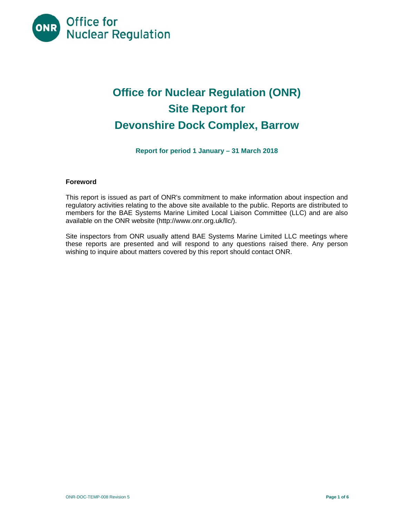

# **Office for Nuclear Regulation (ONR) Site Report for Devonshire Dock Complex, Barrow**

**Report for period 1 January – 31 March 2018** 

## **Foreword**

This report is issued as part of ONR's commitment to make information about inspection and regulatory activities relating to the above site available to the public. Reports are distributed to members for the BAE Systems Marine Limited Local Liaison Committee (LLC) and are also available on the ONR website (http://www.onr.org.uk/llc/).

Site inspectors from ONR usually attend BAE Systems Marine Limited LLC meetings where these reports are presented and will respond to any questions raised there. Any person wishing to inquire about matters covered by this report should contact ONR.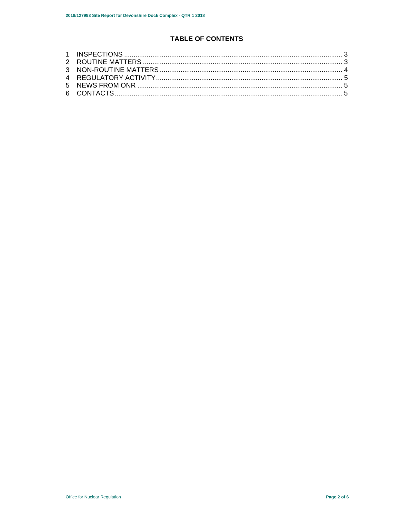## **TABLE OF CONTENTS**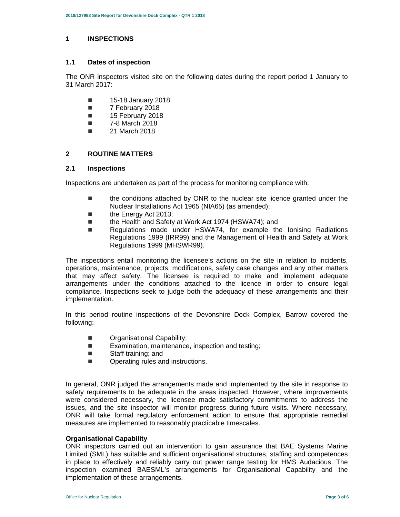#### **1 INSPECTIONS**

#### **1.1 Dates of inspection**

The ONR inspectors visited site on the following dates during the report period 1 January to 31 March 2017:

- **15-18 January 2018**
- 7 February 2018
- **15 February 2018**
- 7-8 March 2018
- **21 March 2018**

## **2 ROUTINE MATTERS**

## **2.1 Inspections**

Inspections are undertaken as part of the process for monitoring compliance with:

- the conditions attached by ONR to the nuclear site licence granted under the Nuclear Installations Act 1965 (NIA65) (as amended);
- the Energy Act 2013;
- the Health and Safety at Work Act 1974 (HSWA74); and
- Regulations made under HSWA74, for example the lonising Radiations Regulations 1999 (IRR99) and the Management of Health and Safety at Work Regulations 1999 (MHSWR99).

The inspections entail monitoring the licensee's actions on the site in relation to incidents, operations, maintenance, projects, modifications, safety case changes and any other matters that may affect safety. The licensee is required to make and implement adequate arrangements under the conditions attached to the licence in order to ensure legal compliance. Inspections seek to judge both the adequacy of these arrangements and their implementation.

In this period routine inspections of the Devonshire Dock Complex, Barrow covered the following:

- **Drganisational Capability;**
- Examination, maintenance, inspection and testing;
- Staff training: and
- **Dearating rules and instructions.**

In general, ONR judged the arrangements made and implemented by the site in response to safety requirements to be adequate in the areas inspected. However, where improvements were considered necessary, the licensee made satisfactory commitments to address the issues, and the site inspector will monitor progress during future visits. Where necessary, ONR will take formal regulatory enforcement action to ensure that appropriate remedial measures are implemented to reasonably practicable timescales.

## **Organisational Capability**

ONR inspectors carried out an intervention to gain assurance that BAE Systems Marine Limited (SML) has suitable and sufficient organisational structures, staffing and competences in place to effectively and reliably carry out power range testing for HMS Audacious. The inspection examined BAESML's arrangements for Organisational Capability and the implementation of these arrangements.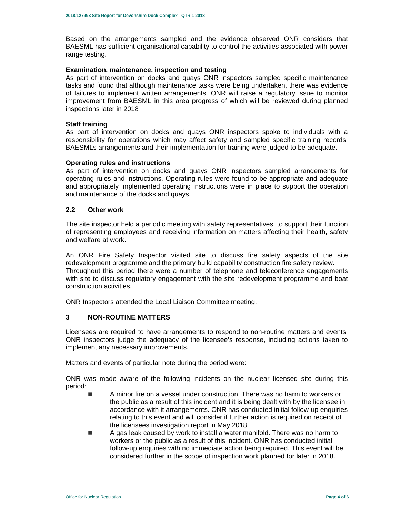Based on the arrangements sampled and the evidence observed ONR considers that BAESML has sufficient organisational capability to control the activities associated with power range testing.

#### **Examination, maintenance, inspection and testing**

As part of intervention on docks and quays ONR inspectors sampled specific maintenance tasks and found that although maintenance tasks were being undertaken, there was evidence of failures to implement written arrangements. ONR will raise a regulatory issue to monitor improvement from BAESML in this area progress of which will be reviewed during planned inspections later in 2018

#### **Staff training**

As part of intervention on docks and quays ONR inspectors spoke to individuals with a responsibility for operations which may affect safety and sampled specific training records. BAESMLs arrangements and their implementation for training were judged to be adequate.

#### **Operating rules and instructions**

As part of intervention on docks and quays ONR inspectors sampled arrangements for operating rules and instructions. Operating rules were found to be appropriate and adequate and appropriately implemented operating instructions were in place to support the operation and maintenance of the docks and quays.

## **2.2 Other work**

The site inspector held a periodic meeting with safety representatives, to support their function of representing employees and receiving information on matters affecting their health, safety and welfare at work.

An ONR Fire Safety Inspector visited site to discuss fire safety aspects of the site redevelopment programme and the primary build capability construction fire safety review. Throughout this period there were a number of telephone and teleconference engagements with site to discuss regulatory engagement with the site redevelopment programme and boat construction activities.

ONR Inspectors attended the Local Liaison Committee meeting.

## **3 NON-ROUTINE MATTERS**

Licensees are required to have arrangements to respond to non-routine matters and events. ONR inspectors judge the adequacy of the licensee's response, including actions taken to implement any necessary improvements.

Matters and events of particular note during the period were:

ONR was made aware of the following incidents on the nuclear licensed site during this period:

- A minor fire on a vessel under construction. There was no harm to workers or the public as a result of this incident and it is being dealt with by the licensee in accordance with it arrangements. ONR has conducted initial follow-up enquiries relating to this event and will consider if further action is required on receipt of the licensees investigation report in May 2018.
- A gas leak caused by work to install a water manifold. There was no harm to workers or the public as a result of this incident. ONR has conducted initial follow-up enquiries with no immediate action being required. This event will be considered further in the scope of inspection work planned for later in 2018.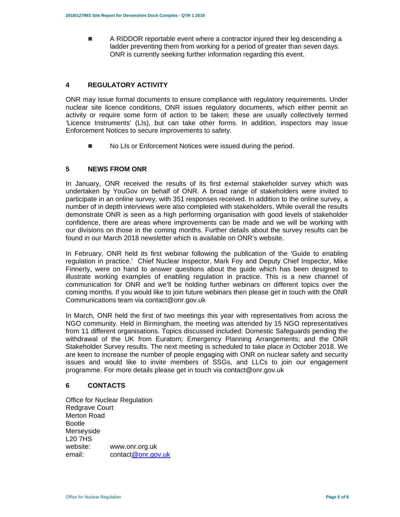**A RIDDOR reportable event where a contractor injured their leg descending a** ladder preventing them from working for a period of greater than seven days. ONR is currently seeking further information regarding this event.

## **4 REGULATORY ACTIVITY**

ONR may issue formal documents to ensure compliance with regulatory requirements. Under nuclear site licence conditions, ONR issues regulatory documents, which either permit an activity or require some form of action to be taken; these are usually collectively termed 'Licence Instruments' (LIs), but can take other forms. In addition, inspectors may issue Enforcement Notices to secure improvements to safety.

No LIs or Enforcement Notices were issued during the period.

## **5 NEWS FROM ONR**

In January, ONR received the results of its first external stakeholder survey which was undertaken by YouGov on behalf of ONR. A broad range of stakeholders were invited to participate in an online survey, with 351 responses received. In addition to the online survey, a number of in depth interviews were also completed with stakeholders. While overall the results demonstrate ONR is seen as a high performing organisation with good levels of stakeholder confidence, there are areas where improvements can be made and we will be working with our divisions on those in the coming months. Further details about the survey results can be found in our March 2018 newsletter which is available on ONR's website.

In February, ONR held its first webinar following the publication of the 'Guide to enabling regulation in practice.' Chief Nuclear Inspector, Mark Foy and Deputy Chief Inspector, Mike Finnerty, were on hand to answer questions about the guide which has been designed to illustrate working examples of enabling regulation in practice. This is a new channel of communication for ONR and we'll be holding further webinars on different topics over the coming months. If you would like to join future webinars then please get in touch with the ONR Communications team via contact@onr.gov.uk

In March, ONR held the first of two meetings this year with representatives from across the NGO community. Held in Birmingham, the meeting was attended by 15 NGO representatives from 11 different organisations. Topics discussed included: Domestic Safeguards pending the withdrawal of the UK from Euratom; Emergency Planning Arrangements; and the ONR Stakeholder Survey results. The next meeting is scheduled to take place in October 2018. We are keen to increase the number of people engaging with ONR on nuclear safety and security issues and would like to invite members of SSGs, and LLCs to join our engagement programme. For more details please get in touch via contact@onr.gov.uk

## **6 CONTACTS**

Office for Nuclear Regulation Redgrave Court Merton Road Bootle Merseyside L20 7HS website: www.onr.org.uk email: contact@onr.gov.uk